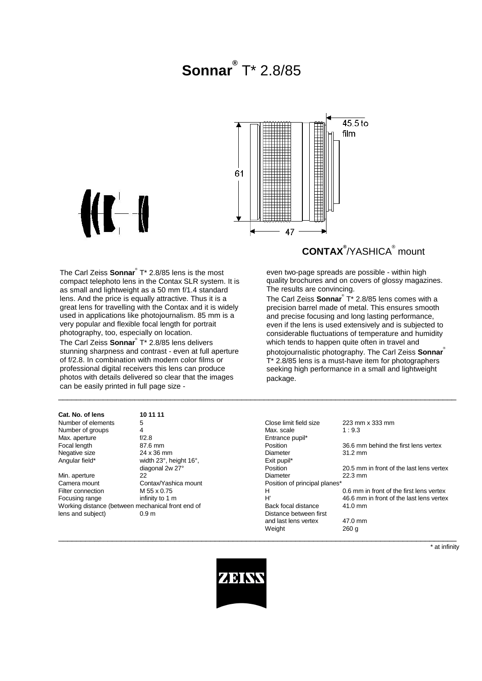# **Sonnar®** T\* 2.8/85



## **CONTAX®** /YASHICA® mount

The Carl Zeiss **Sonnar**® T\* 2.8/85 lens is the most compact telephoto lens in the Contax SLR system. It is as small and lightweight as a 50 mm f/1.4 standard lens. And the price is equally attractive. Thus it is a great lens for travelling with the Contax and it is widely used in applications like photojournalism. 85 mm is a very popular and flexible focal length for portrait photography, too, especially on location.

The Carl Zeiss **Sonnar**® T\* 2.8/85 lens delivers stunning sharpness and contrast - even at full aperture of f/2.8. In combination with modern color films or professional digital receivers this lens can produce photos with details delivered so clear that the images can be easily printed in full page size -

| The results are convincing.                              |
|----------------------------------------------------------|
| The Carl Zeiss <b>Sonnar</b> T* 2.8/85 lens comes with a |
| precision barrel made of metal. This ensures smooth      |
| and precise focusing and long lasting performance,       |
| even if the lens is used extensively and is subjected to |

even two-page spreads are possible - within high quality brochures and on covers of glossy magazines.

considerable fluctuations of temperature and humidity which tends to happen quite often in travel and photojournalistic photography. The Carl Zeiss **Sonnar**® T\* 2.8/85 lens is a must-have item for photographers seeking high performance in a small and lightweight package.

| Cat. No. of lens                                  | 10 11 11               |                               |                                          |
|---------------------------------------------------|------------------------|-------------------------------|------------------------------------------|
| Number of elements                                | 5                      | Close limit field size        | 223 mm x 333 mm                          |
| Number of groups                                  | 4                      | Max. scale                    | 1:9.3                                    |
| Max. aperture                                     | f/2.8                  | Entrance pupil*               |                                          |
| Focal length                                      | 87.6 mm                | <b>Position</b>               | 36.6 mm behind the first lens vertex     |
| Negative size                                     | 24 x 36 mm             | Diameter                      | $31.2 \text{ mm}$                        |
| Angular field*                                    | width 23°, height 16°, | Exit pupil*                   |                                          |
|                                                   | diagonal 2w 27°        | Position                      | 20.5 mm in front of the last lens vertex |
| Min. aperture                                     | 22                     | Diameter                      | $22.3 \text{ mm}$                        |
| Camera mount                                      | Contax/Yashica mount   | Position of principal planes* |                                          |
| Filter connection                                 | M 55 x 0.75            | н                             | 0.6 mm in front of the first lens vertex |
| Focusing range                                    | infinity to 1 m        | H'                            | 46.6 mm in front of the last lens vertex |
| Working distance (between mechanical front end of |                        | Back focal distance           | $41.0$ mm                                |
| lens and subject)                                 | 0.9 <sub>m</sub>       | Distance between first        |                                          |
|                                                   |                        | and last lens vertex          | 47.0 mm                                  |
|                                                   |                        | Weight                        | 260q                                     |
|                                                   |                        |                               |                                          |

\_\_\_\_\_\_\_\_\_\_\_\_\_\_\_\_\_\_\_\_\_\_\_\_\_\_\_\_\_\_\_\_\_\_\_\_\_\_\_\_\_\_\_\_\_\_\_\_\_\_\_\_\_\_\_\_\_\_\_\_\_\_\_\_\_\_\_\_\_\_\_\_\_\_\_\_\_\_\_\_\_\_\_\_\_\_\_\_\_

\* at infinity